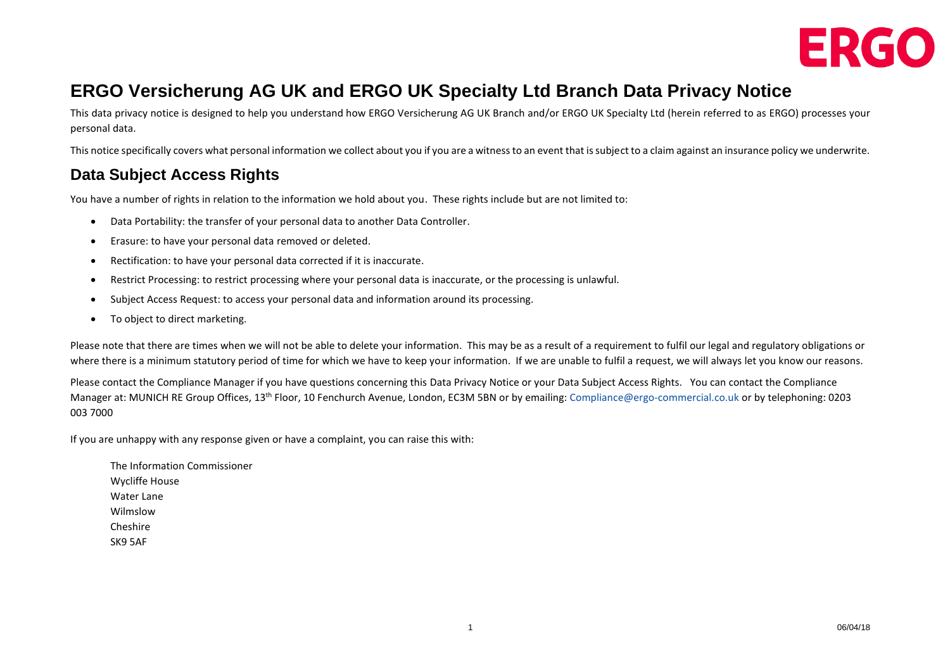

# **ERGO Versicherung AG UK and ERGO UK Specialty Ltd Branch Data Privacy Notice**

This data privacy notice is designed to help you understand how ERGO Versicherung AG UK Branch and/or ERGO UK Specialty Ltd (herein referred to as ERGO) processes your personal data.

This notice specifically covers what personal information we collect about you if you are a witness to an event that is subject to a claim against an insurance policy we underwrite.

#### **Data Subject Access Rights**

You have a number of rights in relation to the information we hold about you. These rights include but are not limited to:

- Data Portability: the transfer of your personal data to another Data Controller.
- Erasure: to have your personal data removed or deleted.
- Rectification: to have your personal data corrected if it is inaccurate.
- Restrict Processing: to restrict processing where your personal data is inaccurate, or the processing is unlawful.
- Subject Access Request: to access your personal data and information around its processing.
- To object to direct marketing.

Please note that there are times when we will not be able to delete your information. This may be as a result of a reguirement to fulfil our legal and regulatory obligations or where there is a minimum statutory period of time for which we have to keep your information. If we are unable to fulfil a request, we will always let you know our reasons.

Please contact the Compliance Manager if you have questions concerning this Data Privacy Notice or your Data Subject Access Rights. You can contact the Compliance Manager at: MUNICH RE Group Offices, 13th Floor, 10 Fenchurch Avenue, London, EC3M 5BN or by emailing: [Compliance@ergo-commercial.co.uk](mailto:Compliance@ergo-commercial.co.uk) or by telephoning: 0203 003 7000

If you are unhappy with any response given or have a complaint, you can raise this with:

The Information Commissioner Wycliffe House Water Lane Wilmslow Cheshire SK9 5AF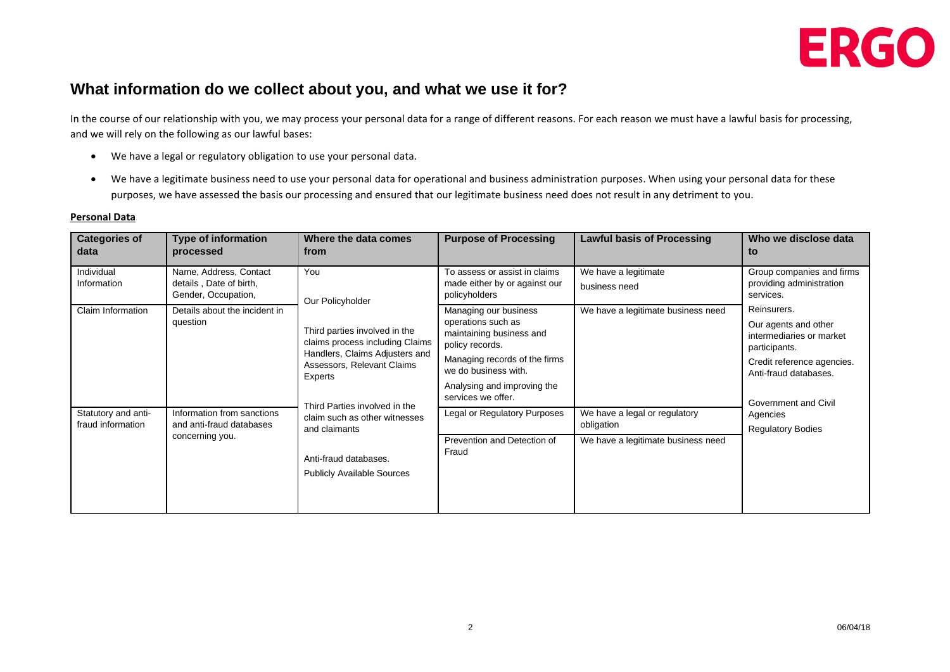

#### **What information do we collect about you, and what we use it for?**

In the course of our relationship with you, we may process your personal data for a range of different reasons. For each reason we must have a lawful basis for processing, and we will rely on the following as our lawful bases:

- We have a legal or regulatory obligation to use your personal data.
- We have a legitimate business need to use your personal data for operational and business administration purposes. When using your personal data for these purposes, we have assessed the basis our processing and ensured that our legitimate business need does not result in any detriment to you.

#### **Personal Data**

| <b>Categories of</b><br>data             | <b>Type of information</b><br>processed                                   | Where the data comes<br>from                                                                                                                                                                                                                                                                                            | <b>Purpose of Processing</b>                                                                                                                                                                             | <b>Lawful basis of Processing</b>                                                 | Who we disclose data<br>to                                                                                                                                                                              |
|------------------------------------------|---------------------------------------------------------------------------|-------------------------------------------------------------------------------------------------------------------------------------------------------------------------------------------------------------------------------------------------------------------------------------------------------------------------|----------------------------------------------------------------------------------------------------------------------------------------------------------------------------------------------------------|-----------------------------------------------------------------------------------|---------------------------------------------------------------------------------------------------------------------------------------------------------------------------------------------------------|
| Individual<br>Information                | Name, Address, Contact<br>details, Date of birth,<br>Gender, Occupation,  | You<br>Our Policyholder<br>Third parties involved in the<br>claims process including Claims<br>Handlers, Claims Adjusters and<br>Assessors, Relevant Claims<br>Experts<br>Third Parties involved in the<br>claim such as other witnesses<br>and claimants<br>Anti-fraud databases.<br><b>Publicly Available Sources</b> | To assess or assist in claims<br>made either by or against our<br>policyholders                                                                                                                          | We have a legitimate<br>business need                                             | Group companies and firms<br>providing administration<br>services.                                                                                                                                      |
| Claim Information                        | Details about the incident in<br>question                                 |                                                                                                                                                                                                                                                                                                                         | Managing our business<br>operations such as<br>maintaining business and<br>policy records.<br>Managing records of the firms<br>we do business with.<br>Analysing and improving the<br>services we offer. | We have a legitimate business need                                                | Reinsurers.<br>Our agents and other<br>intermediaries or market<br>participants.<br>Credit reference agencies.<br>Anti-fraud databases.<br>Government and Civil<br>Agencies<br><b>Regulatory Bodies</b> |
| Statutory and anti-<br>fraud information | Information from sanctions<br>and anti-fraud databases<br>concerning you. |                                                                                                                                                                                                                                                                                                                         | Legal or Regulatory Purposes<br>Prevention and Detection of<br>Fraud                                                                                                                                     | We have a legal or regulatory<br>obligation<br>We have a legitimate business need |                                                                                                                                                                                                         |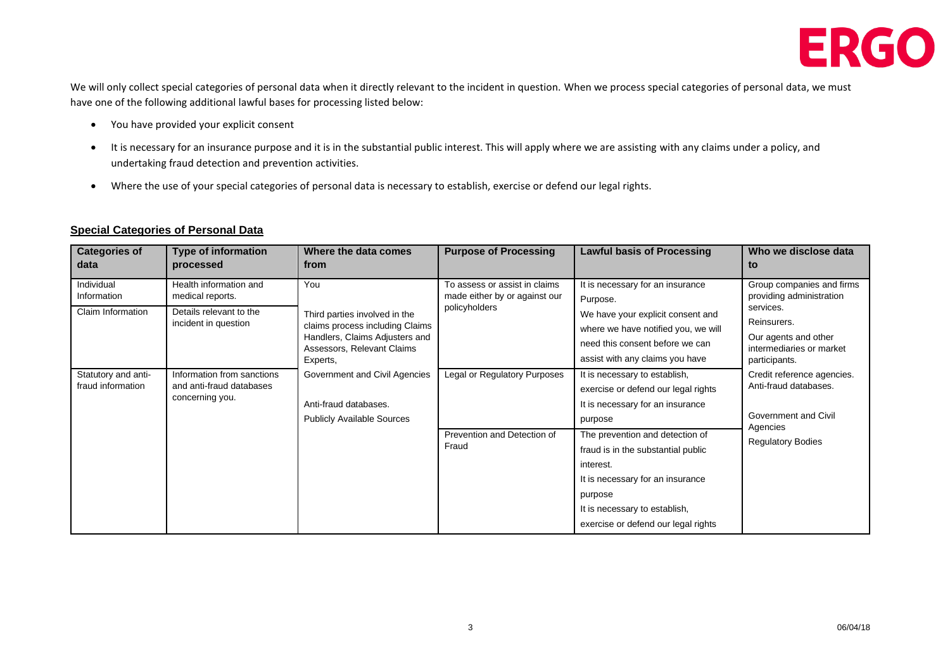

We will only collect special categories of personal data when it directly relevant to the incident in question. When we process special categories of personal data, we must have one of the following additional lawful bases for processing listed below:

- You have provided your explicit consent
- It is necessary for an insurance purpose and it is in the substantial public interest. This will apply where we are assisting with any claims under a policy, and undertaking fraud detection and prevention activities.
- Where the use of your special categories of personal data is necessary to establish, exercise or defend our legal rights.

#### **Special Categories of Personal Data**

| <b>Categories of</b><br>data                   | <b>Type of information</b><br>processed                                                       | Where the data comes<br>from                                                                                                                        | <b>Purpose of Processing</b>                                                    | <b>Lawful basis of Processing</b>                                                                                                                                                                         | Who we disclose data<br>to                                                                                                                             |
|------------------------------------------------|-----------------------------------------------------------------------------------------------|-----------------------------------------------------------------------------------------------------------------------------------------------------|---------------------------------------------------------------------------------|-----------------------------------------------------------------------------------------------------------------------------------------------------------------------------------------------------------|--------------------------------------------------------------------------------------------------------------------------------------------------------|
| Individual<br>Information<br>Claim Information | Health information and<br>medical reports.<br>Details relevant to the<br>incident in question | You<br>Third parties involved in the<br>claims process including Claims<br>Handlers, Claims Adjusters and<br>Assessors, Relevant Claims<br>Experts, | To assess or assist in claims<br>made either by or against our<br>policyholders | It is necessary for an insurance<br>Purpose.<br>We have your explicit consent and<br>where we have notified you, we will<br>need this consent before we can<br>assist with any claims you have            | Group companies and firms<br>providing administration<br>services.<br>Reinsurers.<br>Our agents and other<br>intermediaries or market<br>participants. |
| Statutory and anti-<br>fraud information       | Information from sanctions<br>and anti-fraud databases<br>concerning you.                     | Government and Civil Agencies<br>Anti-fraud databases.<br><b>Publicly Available Sources</b>                                                         | Legal or Regulatory Purposes                                                    | It is necessary to establish,<br>exercise or defend our legal rights<br>It is necessary for an insurance<br>purpose                                                                                       | Credit reference agencies.<br>Anti-fraud databases.<br>Government and Civil<br>Agencies<br><b>Regulatory Bodies</b>                                    |
|                                                |                                                                                               |                                                                                                                                                     | Prevention and Detection of<br>Fraud                                            | The prevention and detection of<br>fraud is in the substantial public<br>interest.<br>It is necessary for an insurance<br>purpose<br>It is necessary to establish,<br>exercise or defend our legal rights |                                                                                                                                                        |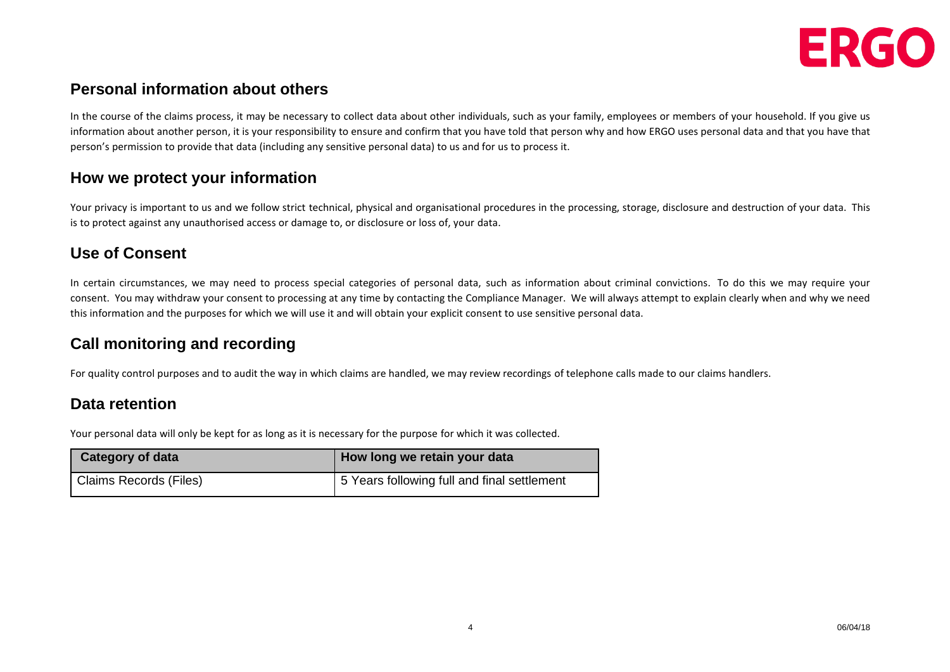

#### **Personal information about others**

In the course of the claims process, it may be necessary to collect data about other individuals, such as your family, employees or members of your household. If you give us information about another person, it is your responsibility to ensure and confirm that you have told that person why and how ERGO uses personal data and that you have that person's permission to provide that data (including any sensitive personal data) to us and for us to process it.

#### **How we protect your information**

Your privacy is important to us and we follow strict technical, physical and organisational procedures in the processing, storage, disclosure and destruction of your data. This is to protect against any unauthorised access or damage to, or disclosure or loss of, your data.

## **Use of Consent**

In certain circumstances, we may need to process special categories of personal data, such as information about criminal convictions. To do this we may require your consent. You may withdraw your consent to processing at any time by contacting the Compliance Manager. We will always attempt to explain clearly when and why we need this information and the purposes for which we will use it and will obtain your explicit consent to use sensitive personal data.

## **Call monitoring and recording**

For quality control purposes and to audit the way in which claims are handled, we may review recordings of telephone calls made to our claims handlers.

#### **Data retention**

Your personal data will only be kept for as long as it is necessary for the purpose for which it was collected.

| <b>Category of data</b> | How long we retain your data                |
|-------------------------|---------------------------------------------|
| Claims Records (Files)  | 5 Years following full and final settlement |